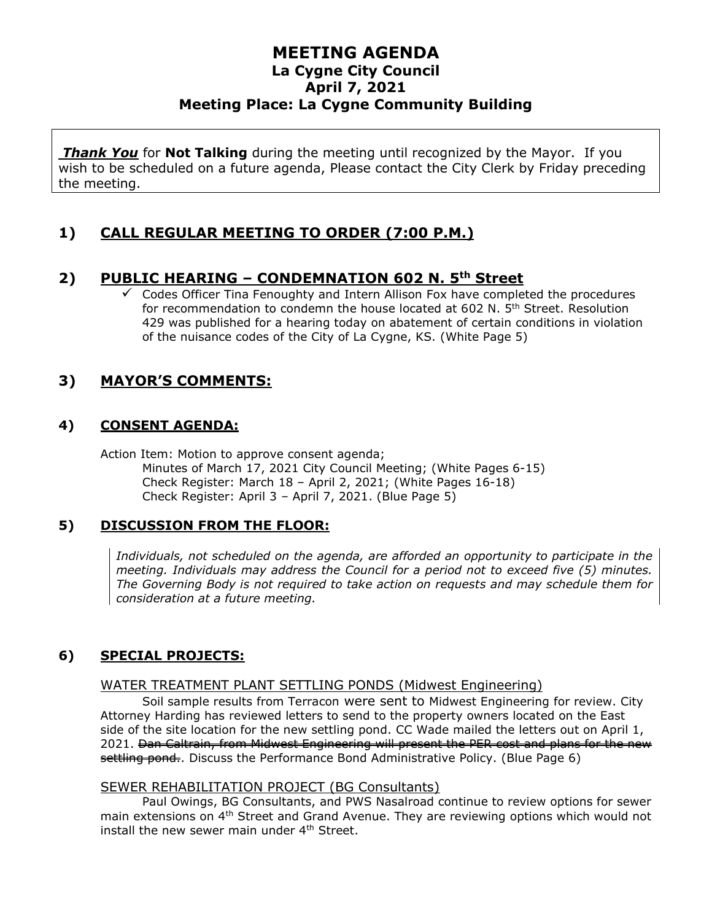*Thank You* for **Not Talking** during the meeting until recognized by the Mayor. If you wish to be scheduled on a future agenda, Please contact the City Clerk by Friday preceding the meeting.

# **1) CALL REGULAR MEETING TO ORDER (7:00 P.M.)**

## **2) PUBLIC HEARING – CONDEMNATION 602 N. 5th Street**

 $\checkmark$  Codes Officer Tina Fenoughty and Intern Allison Fox have completed the procedures for recommendation to condemn the house located at 602 N. 5<sup>th</sup> Street. Resolution 429 was published for a hearing today on abatement of certain conditions in violation of the nuisance codes of the City of La Cygne, KS. (White Page 5)

# **3) MAYOR'S COMMENTS:**

# **4) CONSENT AGENDA:**

Action Item: Motion to approve consent agenda; Minutes of March 17, 2021 City Council Meeting; (White Pages 6-15) Check Register: March 18 – April 2, 2021; (White Pages 16-18) Check Register: April 3 – April 7, 2021. (Blue Page 5)

## **5) DISCUSSION FROM THE FLOOR:**

*Individuals, not scheduled on the agenda, are afforded an opportunity to participate in the meeting. Individuals may address the Council for a period not to exceed five (5) minutes. The Governing Body is not required to take action on requests and may schedule them for consideration at a future meeting.*

# **6) SPECIAL PROJECTS:**

## WATER TREATMENT PLANT SETTLING PONDS (Midwest Engineering)

Soil sample results from Terracon were sent to Midwest Engineering for review. City Attorney Harding has reviewed letters to send to the property owners located on the East side of the site location for the new settling pond. CC Wade mailed the letters out on April 1, 2021. <del>Dan Caltrain, from Midwest Engineering will present the PER cost and plans for the new</del> settling pond.. Discuss the Performance Bond Administrative Policy. (Blue Page 6)

#### SEWER REHABILITATION PROJECT (BG Consultants)

Paul Owings, BG Consultants, and PWS Nasalroad continue to review options for sewer main extensions on 4th Street and Grand Avenue. They are reviewing options which would not install the new sewer main under  $4<sup>th</sup>$  Street.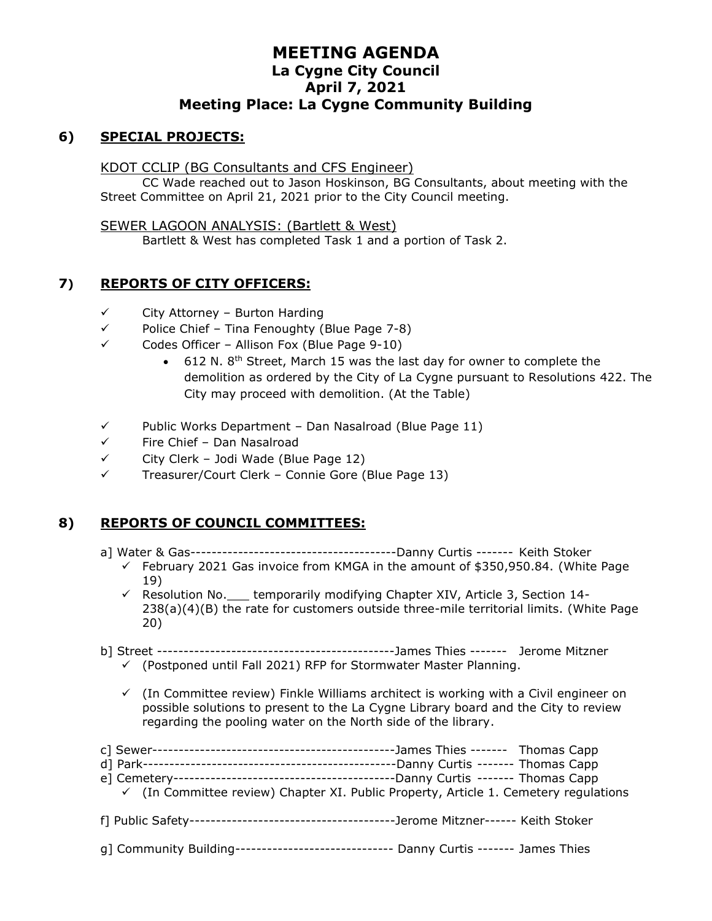## **6) SPECIAL PROJECTS:**

#### KDOT CCLIP (BG Consultants and CFS Engineer)

CC Wade reached out to Jason Hoskinson, BG Consultants, about meeting with the Street Committee on April 21, 2021 prior to the City Council meeting.

#### SEWER LAGOON ANALYSIS: (Bartlett & West)

Bartlett & West has completed Task 1 and a portion of Task 2.

## **7) REPORTS OF CITY OFFICERS:**

- $\checkmark$  City Attorney Burton Harding
- ✓ Police Chief Tina Fenoughty (Blue Page 7-8)
- ✓ Codes Officer Allison Fox (Blue Page 9-10)
	- 612 N. 8<sup>th</sup> Street, March 15 was the last day for owner to complete the demolition as ordered by the City of La Cygne pursuant to Resolutions 422. The City may proceed with demolition. (At the Table)
- $\checkmark$  Public Works Department Dan Nasalroad (Blue Page 11)
- ✓ Fire Chief Dan Nasalroad
- $\checkmark$  City Clerk Jodi Wade (Blue Page 12)
- ✓ Treasurer/Court Clerk Connie Gore (Blue Page 13)

## **8) REPORTS OF COUNCIL COMMITTEES:**

- a] Water & Gas---------------------------------------Danny Curtis ------- Keith Stoker
	- $\checkmark$  February 2021 Gas invoice from KMGA in the amount of \$350,950.84. (White Page 19)
	- ✓ Resolution No.\_\_\_ temporarily modifying Chapter XIV, Article 3, Section 14- 238(a)(4)(B) the rate for customers outside three-mile territorial limits. (White Page 20)
- b] Street ---------------------------------------------James Thies ------- Jerome Mitzner
	- $\checkmark$  (Postponed until Fall 2021) RFP for Stormwater Master Planning.
		- $\checkmark$  (In Committee review) Finkle Williams architect is working with a Civil engineer on possible solutions to present to the La Cygne Library board and the City to review regarding the pooling water on the North side of the library.

|                                                                                        | -James Thies ------- Thomas Capp                                                                |
|----------------------------------------------------------------------------------------|-------------------------------------------------------------------------------------------------|
|                                                                                        |                                                                                                 |
|                                                                                        |                                                                                                 |
|                                                                                        | $\checkmark$ (In Committee review) Chapter XI. Public Property, Article 1. Cemetery regulations |
|                                                                                        |                                                                                                 |
| g] Community Building-------------------------------- Danny Curtis ------- James Thies |                                                                                                 |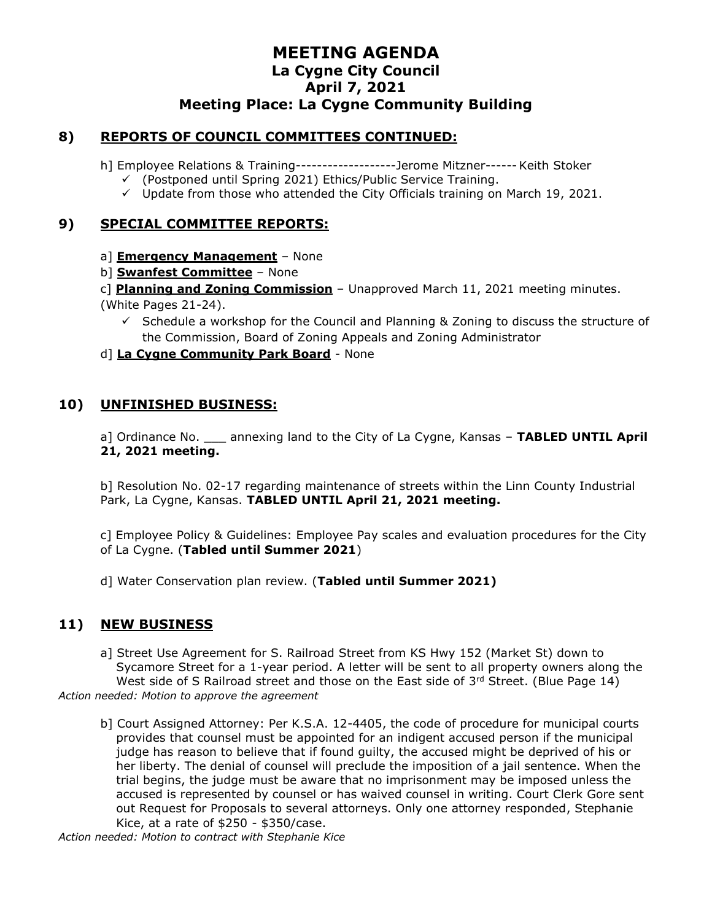## **8) REPORTS OF COUNCIL COMMITTEES CONTINUED:**

- h] Employee Relations & Training-------------------Jerome Mitzner------Keith Stoker
	- ✓ (Postponed until Spring 2021) Ethics/Public Service Training.
	- $\checkmark$  Update from those who attended the City Officials training on March 19, 2021.

#### **9) SPECIAL COMMITTEE REPORTS:**

- a] **Emergency Management** None
- b] **Swanfest Committee** None
- c] **Planning and Zoning Commission** Unapproved March 11, 2021 meeting minutes.
- (White Pages 21-24).
	- $\checkmark$  Schedule a workshop for the Council and Planning & Zoning to discuss the structure of the Commission, Board of Zoning Appeals and Zoning Administrator
- d] **La Cygne Community Park Board** None

#### **10) UNFINISHED BUSINESS:**

a] Ordinance No. \_\_\_ annexing land to the City of La Cygne, Kansas – **TABLED UNTIL April 21, 2021 meeting.**

b] Resolution No. 02-17 regarding maintenance of streets within the Linn County Industrial Park, La Cygne, Kansas. **TABLED UNTIL April 21, 2021 meeting.**

c] Employee Policy & Guidelines: Employee Pay scales and evaluation procedures for the City of La Cygne. (**Tabled until Summer 2021**)

d] Water Conservation plan review. (**Tabled until Summer 2021)**

#### **11) NEW BUSINESS**

- a] Street Use Agreement for S. Railroad Street from KS Hwy 152 (Market St) down to Sycamore Street for a 1-year period. A letter will be sent to all property owners along the West side of S Railroad street and those on the East side of  $3<sup>rd</sup>$  Street. (Blue Page 14) *Action needed: Motion to approve the agreement*
	- b] Court Assigned Attorney: Per K.S.A. 12-4405, the code of procedure for municipal courts provides that counsel must be appointed for an indigent accused person if the municipal judge has reason to believe that if found guilty, the accused might be deprived of his or her liberty. The denial of counsel will preclude the imposition of a jail sentence. When the trial begins, the judge must be aware that no imprisonment may be imposed unless the accused is represented by counsel or has waived counsel in writing. Court Clerk Gore sent out Request for Proposals to several attorneys. Only one attorney responded, Stephanie Kice, at a rate of \$250 - \$350/case.

*Action needed: Motion to contract with Stephanie Kice*